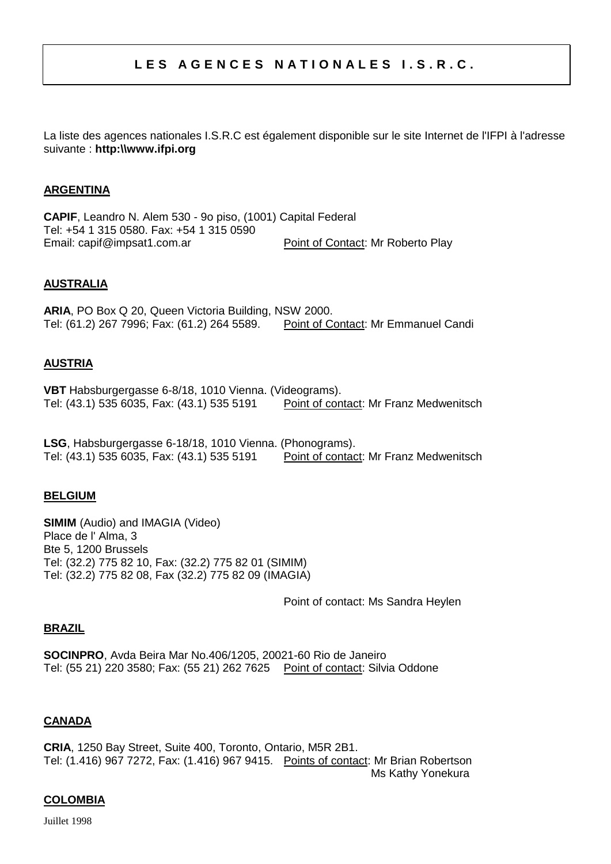# LES AGENCES NATIONALES I.S.R.C.

La liste des agences nationales I.S.R.C est également disponible sur le site Internet de l'IFPI à l'adresse suivante : **http:\\www.ifpi.org**

### **ARGENTINA**

**CAPIF**, Leandro N. Alem 530 - 9o piso, (1001) Capital Federal Tel: +54 1 315 0580. Fax: +54 1 315 0590 Email: capif@impsat1.com.ar Point of Contact: Mr Roberto Play

### **AUSTRALIA**

**ARIA**, PO Box Q 20, Queen Victoria Building, NSW 2000. Tel: (61.2) 267 7996; Fax: (61.2) 264 5589. Point of Contact: Mr Emmanuel Candi

### **AUSTRIA**

**VBT** Habsburgergasse 6-8/18, 1010 Vienna. (Videograms).<br>Tel: (43.1) 535 6035, Fax: (43.1) 535 5191 Point of contact: Mr Franz Medwenitsch Tel: (43.1) 535 6035, Fax: (43.1) 535 5191

**LSG**, Habsburgergasse 6-18/18, 1010 Vienna. (Phonograms). Tel: (43.1) 535 6035, Fax: (43.1) 535 5191 Point of contact: Mr Franz Medwenitsch

#### **BELGIUM**

**SIMIM** (Audio) and IMAGIA (Video) Place de l' Alma, 3 Bte 5, 1200 Brussels Tel: (32.2) 775 82 10, Fax: (32.2) 775 82 01 (SIMIM) Tel: (32.2) 775 82 08, Fax (32.2) 775 82 09 (IMAGIA)

Point of contact: Ms Sandra Heylen

#### **BRAZIL**

**SOCINPRO**, Avda Beira Mar No.406/1205, 20021-60 Rio de Janeiro Tel: (55 21) 220 3580; Fax: (55 21) 262 7625 Point of contact: Silvia Oddone

#### **CANADA**

**CRIA**, 1250 Bay Street, Suite 400, Toronto, Ontario, M5R 2B1. Tel: (1.416) 967 7272, Fax: (1.416) 967 9415. Points of contact: Mr Brian Robertson Ms Kathy Yonekura

#### **COLOMBIA**

Juillet 1998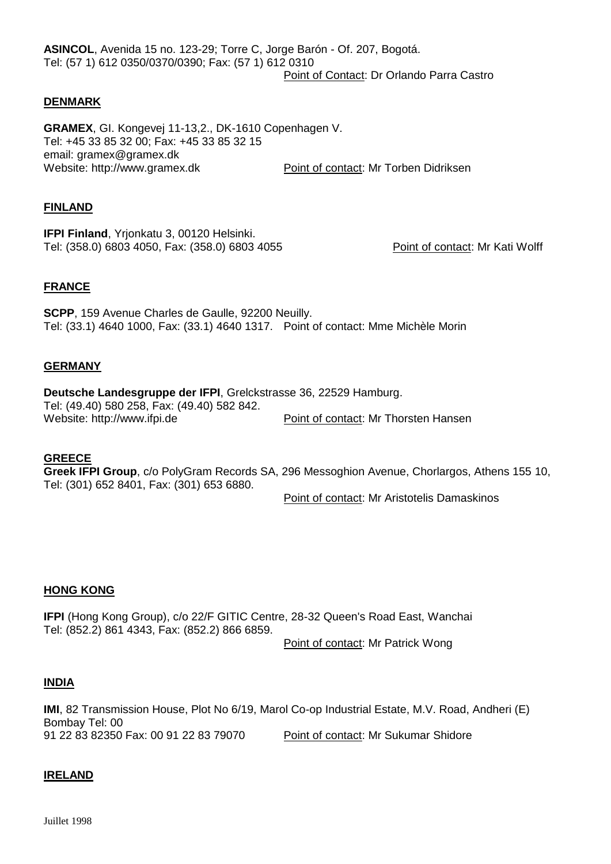**ASINCOL**, Avenida 15 no. 123-29; Torre C, Jorge Barón - Of. 207, Bogotá. Tel: (57 1) 612 0350/0370/0390; Fax: (57 1) 612 0310 Point of Contact: Dr Orlando Parra Castro

#### **DENMARK**

**GRAMEX**, GI. Kongevej 11-13,2., DK-1610 Copenhagen V. Tel: +45 33 85 32 00; Fax: +45 33 85 32 15 email: gramex@gramex.dk Website: http://www.gramex.dk Point of contact: Mr Torben Didriksen

#### **FINLAND**

**IFPI Finland**, Yrjonkatu 3, 00120 Helsinki. Tel: (358.0) 6803 4050, Fax: (358.0) 6803 4055 Point of contact: Mr Kati Wolff

#### **FRANCE**

**SCPP**, 159 Avenue Charles de Gaulle, 92200 Neuilly. Tel: (33.1) 4640 1000, Fax: (33.1) 4640 1317. Point of contact: Mme Michèle Morin

#### **GERMANY**

**Deutsche Landesgruppe der IFPI**, Grelckstrasse 36, 22529 Hamburg. Tel: (49.40) 580 258, Fax: (49.40) 582 842. Website: http://www.ifpi.de Point of contact: Mr Thorsten Hansen

#### **GREECE**

**Greek IFPI Group**, c/o PolyGram Records SA, 296 Messoghion Avenue, Chorlargos, Athens 155 10, Tel: (301) 652 8401, Fax: (301) 653 6880.

Point of contact: Mr Aristotelis Damaskinos

#### **HONG KONG**

**IFPI** (Hong Kong Group), c/o 22/F GITIC Centre, 28-32 Queen's Road East, Wanchai Tel: (852.2) 861 4343, Fax: (852.2) 866 6859.

Point of contact: Mr Patrick Wong

#### **INDIA**

**IMI**, 82 Transmission House, Plot No 6/19, Marol Co-op Industrial Estate, M.V. Road, Andheri (E) Bombay Tel: 00 91 22 83 82350 Fax: 00 91 22 83 79070 Point of contact: Mr Sukumar Shidore

#### **IRELAND**

Juillet 1998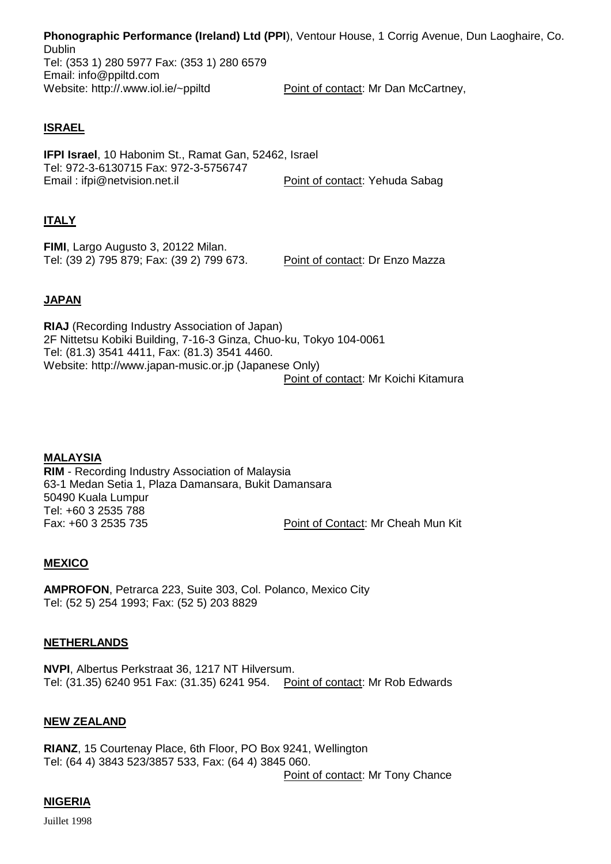**Phonographic Performance (Ireland) Ltd (PPI**), Ventour House, 1 Corrig Avenue, Dun Laoghaire, Co. Dublin Tel: (353 1) 280 5977 Fax: (353 1) 280 6579 Email: info@ppiltd.com<br>Website: http://.www.iol.ie/~ppiltd Point of contact: Mr Dan McCartney,

## **ISRAEL**

**IFPI Israel**, 10 Habonim St., Ramat Gan, 52462, Israel Tel: 972-3-6130715 Fax: 972-3-5756747 Email : ifpi@netvision.net.il Point of contact: Yehuda Sabag

## **ITALY**

**FIMI**, Largo Augusto 3, 20122 Milan. Tel: (39 2) 795 879; Fax: (39 2) 799 673. Point of contact: Dr Enzo Mazza

## **JAPAN**

**RIAJ** (Recording Industry Association of Japan) 2F Nittetsu Kobiki Building, 7-16-3 Ginza, Chuo-ku, Tokyo 104-0061 Tel: (81.3) 3541 4411, Fax: (81.3) 3541 4460. Website: http://www.japan-music.or.jp (Japanese Only) Point of contact: Mr Koichi Kitamura

**MALAYSIA RIM** - Recording Industry Association of Malaysia 63-1 Medan Setia 1, Plaza Damansara, Bukit Damansara 50490 Kuala Lumpur Tel: +60 3 2535 788 Fax: +60 3 2535 735 Point of Contact: Mr Cheah Mun Kit

## **MEXICO**

**AMPROFON**, Petrarca 223, Suite 303, Col. Polanco, Mexico City Tel: (52 5) 254 1993; Fax: (52 5) 203 8829

#### **NETHERLANDS**

**NVPI**, Albertus Perkstraat 36, 1217 NT Hilversum. Tel: (31.35) 6240 951 Fax: (31.35) 6241 954. Point of contact: Mr Rob Edwards

#### **NEW ZEALAND**

**RIANZ**, 15 Courtenay Place, 6th Floor, PO Box 9241, Wellington Tel: (64 4) 3843 523/3857 533, Fax: (64 4) 3845 060.

Point of contact: Mr Tony Chance

## **NIGERIA**

Juillet 1998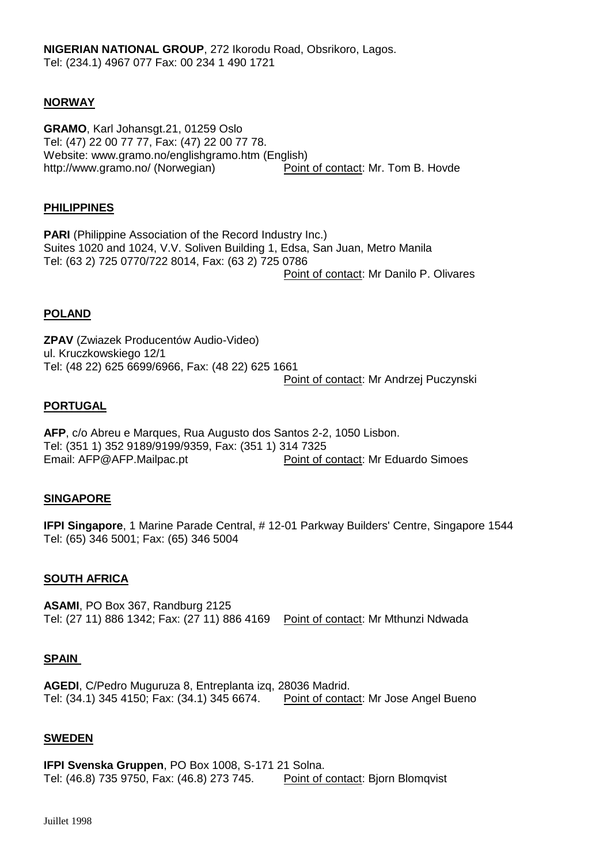## **NORWAY**

**GRAMO**, Karl Johansgt.21, 01259 Oslo Tel: (47) 22 00 77 77, Fax: (47) 22 00 77 78. Website: www.gramo.no/englishgramo.htm (English) http://www.gramo.no/ (Norwegian) Point of contact: Mr. Tom B. Hovde

#### **PHILIPPINES**

**PARI** (Philippine Association of the Record Industry Inc.) Suites 1020 and 1024, V.V. Soliven Building 1, Edsa, San Juan, Metro Manila Tel: (63 2) 725 0770/722 8014, Fax: (63 2) 725 0786 Point of contact: Mr Danilo P. Olivares

#### **POLAND**

**ZPAV** (Zwiazek Producentów Audio-Video) ul. Kruczkowskiego 12/1 Tel: (48 22) 625 6699/6966, Fax: (48 22) 625 1661 Point of contact: Mr Andrzej Puczynski

### **PORTUGAL**

**AFP**, c/o Abreu e Marques, Rua Augusto dos Santos 2-2, 1050 Lisbon. Tel: (351 1) 352 9189/9199/9359, Fax: (351 1) 314 7325 Email: AFP@AFP.Mailpac.pt Point of contact: Mr Eduardo Simoes

#### **SINGAPORE**

**IFPI Singapore**, 1 Marine Parade Central, # 12-01 Parkway Builders' Centre, Singapore 1544 Tel: (65) 346 5001; Fax: (65) 346 5004

#### **SOUTH AFRICA**

**ASAMI**, PO Box 367, Randburg 2125 Tel: (27 11) 886 1342; Fax: (27 11) 886 4169 Point of contact: Mr Mthunzi Ndwada

#### **SPAIN**

**AGEDI**, C/Pedro Muguruza 8, Entreplanta izq, 28036 Madrid. Tel: (34.1) 345 4150; Fax: (34.1) 345 6674. Point of contact: Mr Jose Angel Bueno

#### **SWEDEN**

**IFPI Svenska Gruppen**, PO Box 1008, S-171 21 Solna. Tel: (46.8) 735 9750, Fax: (46.8) 273 745. Point of contact: Bjorn Blomqvist